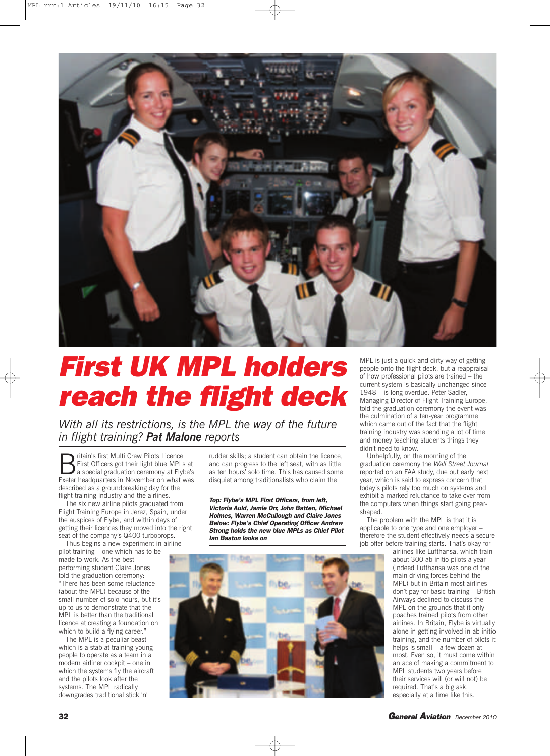

## *First UK MPL holders reach the flight deck*

*With all its restrictions, is the MPL the way of the future in flight training? Pat Malone reports*

**B** ritain's first Multi Crew Pilots Licence<br>a special graduation ceremony at Fly<br>Experts backgrounders in November on what First Officers got their light blue MPLs at a special graduation ceremony at Flybe's Exeter headquarters in November on what was described as a groundbreaking day for the flight training industry and the airlines.

The six new airline pilots graduated from Flight Training Europe in Jerez, Spain, under the auspices of Flybe, and within days of getting their licences they moved into the right seat of the company's Q400 turboprops.

Thus begins a new experiment in airline pilot training – one which has to be made to work. As the best performing student Claire Jones told the graduation ceremony: "There has been some reluctance (about the MPL) because of the small number of solo hours, but it's up to us to demonstrate that the MPL is better than the traditional licence at creating a foundation on which to build a flying career."

The MPL is a peculiar beast which is a stab at training young people to operate as a team in a modern airliner cockpit – one in which the systems fly the aircraft and the pilots look after the systems. The MPL radically downgrades traditional stick 'n'

rudder skills; a student can obtain the licence, and can progress to the left seat, with as little as ten hours' solo time. This has caused some disquiet among traditionalists who claim the

*Top: Flybe's MPL First Officers, from left, Victoria Auld, Jamie Orr, John Batten, Michael Holmes, Warren McCullough and Claire Jones Below: Flybe's Chief Operating Officer Andrew Strong holds the new blue MPLs as Chief Pilot Ian Baston looks on*

**Tybe** 

MPL is just a quick and dirty way of getting people onto the flight deck, but a reappraisal of how professional pilots are trained – the current system is basically unchanged since 1948 – is long overdue. Peter Sadler, Managing Director of Flight Training Europe, told the graduation ceremony the event was the culmination of a ten-year programme which came out of the fact that the flight training industry was spending a lot of time and money teaching students things they didn't need to know.

Unhelpfully, on the morning of the graduation ceremony the *Wall Street Journal* reported on an FAA study, due out early next year, which is said to express concern that today's pilots rely too much on systems and exhibit a marked reluctance to take over from the computers when things start going pearshaped.

The problem with the MPL is that it is applicable to one type and one employer – therefore the student effectively needs a secure job offer before training starts. That's okay for

airlines like Lufthansa, which train about 300 ab initio pilots a year (indeed Lufthansa was one of the main driving forces behind the MPL) but in Britain most airlines don't pay for basic training – British Airways declined to discuss the MPL on the grounds that it only poaches trained pilots from other airlines. In Britain, Flybe is virtually alone in getting involved in ab initio training, and the number of pilots it helps is small – a few dozen at most. Even so, it must come within an ace of making a commitment to MPL students two years before their services will (or will not) be required. That's a big ask, especially at a time like this.